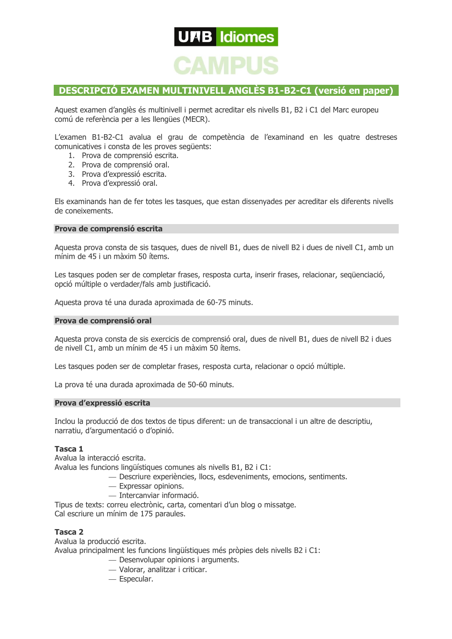# **UAB** Idiomes

#### **DESCRIPCIÓ EXAMEN MULTINIVELL ANGLÈS B1-B2-C1 (versió en paper)**

Aquest examen d'anglès és multinivell i permet acreditar els nivells B1, B2 i C1 del Marc europeu comú de referència per a les llengües (MECR).

L'examen B1-B2-C1 avalua el grau de competència de l'examinand en les quatre destreses comunicatives i consta de les proves següents:

- 1. Prova de comprensió escrita.
- 2. Prova de comprensió oral.
- 3. Prova d'expressió escrita.
- 4. Prova d'expressió oral.

Els examinands han de fer totes les tasques, que estan dissenyades per acreditar els diferents nivells de coneixements.

#### **Prova de comprensió escrita**

Aquesta prova consta de sis tasques, dues de nivell B1, dues de nivell B2 i dues de nivell C1, amb un mínim de 45 i un màxim 50 ítems.

Les tasques poden ser de completar frases, resposta curta, inserir frases, relacionar, seqüenciació, opció múltiple o verdader/fals amb justificació.

Aquesta prova té una durada aproximada de 60-75 minuts.

#### **Prova de comprensió oral**

Aquesta prova consta de sis exercicis de comprensió oral, dues de nivell B1, dues de nivell B2 i dues de nivell C1, amb un mínim de 45 i un màxim 50 ítems.

Les tasques poden ser de completar frases, resposta curta, relacionar o opció múltiple.

La prova té una durada aproximada de 50-60 minuts.

#### **Prova d'expressió escrita**

Inclou la producció de dos textos de tipus diferent: un de transaccional i un altre de descriptiu, narratiu, d'argumentació o d'opinió.

#### **Tasca 1**

Avalua la interacció escrita.

Avalua les funcions lingüístiques comunes als nivells B1, B2 i C1:

- Descriure experiències, llocs, esdeveniments, emocions, sentiments.
- Expressar opinions.
- Intercanviar informació.

Tipus de texts: correu electrònic, carta, comentari d'un blog o missatge. Cal escriure un mínim de 175 paraules.

#### **Tasca 2**

Avalua la producció escrita.

Avalua principalment les funcions lingüístiques més pròpies dels nivells B2 i C1:

- Desenvolupar opinions i arguments.
- Valorar, analitzar i criticar.
- Especular.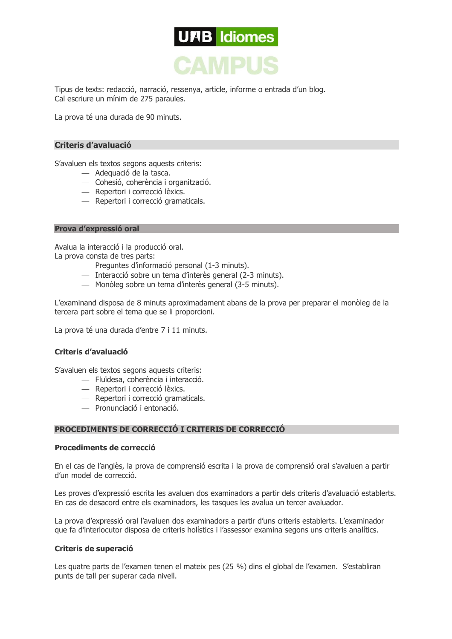

Tipus de texts: redacció, narració, ressenya, article, informe o entrada d'un blog. Cal escriure un mínim de 275 paraules.

La prova té una durada de 90 minuts.

#### **Criteris d'avaluació**

S'avaluen els textos segons aquests criteris:

- Adequació de la tasca.
- Cohesió, coherència i organització.
- Repertori i correcció lèxics.
- Repertori i correcció gramaticals.

#### **Prova d'expressió oral**

Avalua la interacció i la producció oral. La prova consta de tres parts:

- Preguntes d'informació personal (1-3 minuts).
- Interacció sobre un tema d'interès general (2-3 minuts).
- Monòleg sobre un tema d'interès general (3-5 minuts).

L'examinand disposa de 8 minuts aproximadament abans de la prova per preparar el monòleg de la tercera part sobre el tema que se li proporcioni.

La prova té una durada d'entre 7 i 11 minuts.

#### **Criteris d'avaluació**

S'avaluen els textos segons aquests criteris:

- Fluïdesa, coherència i interacció.
- Repertori i correcció lèxics.
- Repertori i correcció gramaticals.
- Pronunciació i entonació.

#### **PROCEDIMENTS DE CORRECCIÓ I CRITERIS DE CORRECCIÓ**

#### **Procediments de correcció**

En el cas de l'anglès, la prova de comprensió escrita i la prova de comprensió oral s'avaluen a partir d'un model de correcció.

Les proves d'expressió escrita les avaluen dos examinadors a partir dels criteris d'avaluació establerts. En cas de desacord entre els examinadors, les tasques les avalua un tercer avaluador.

La prova d'expressió oral l'avaluen dos examinadors a partir d'uns criteris establerts. L'examinador que fa d'interlocutor disposa de criteris holístics i l'assessor examina segons uns criteris analítics.

#### **Criteris de superació**

Les quatre parts de l'examen tenen el mateix pes (25 %) dins el global de l'examen. S'establiran punts de tall per superar cada nivell.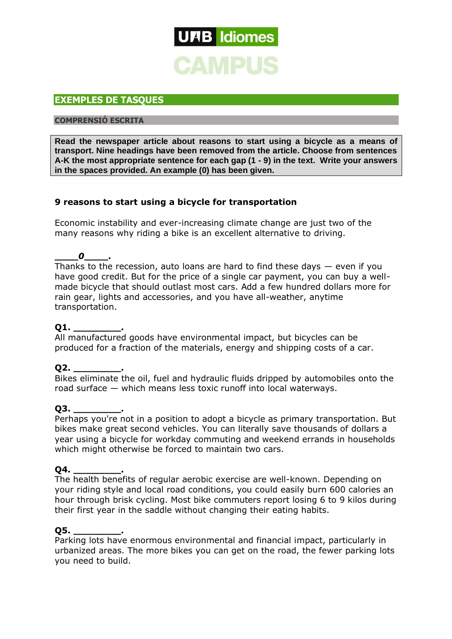

#### **EXEMPLES DE TASQUES**

#### **COMPRENSIÓ ESCRITA**

**Read the newspaper article about reasons to start using a bicycle as a means of transport. Nine headings have been removed from the article. Choose from sentences A-K the most appropriate sentence for each gap (1 - 9) in the text. Write your answers in the spaces provided. An example (0) has been given.**

#### **9 reasons to start using a bicycle for transportation**

Economic instability and ever-increasing climate change are just two of the many reasons why riding a bike is an excellent alternative to driving.

#### **\_\_\_\_***0***\_\_\_\_.**

Thanks to the recession, auto loans are hard to find these days  $-$  even if you have good credit. But for the price of a single car payment, you can buy a wellmade bicycle that should outlast most cars. Add a few hundred dollars more for rain gear, lights and accessories, and you have all-weather, anytime transportation.

#### **Q1. \_\_\_\_\_\_\_\_.**

All manufactured goods have environmental impact, but bicycles can be produced for a fraction of the materials, energy and shipping costs of a car.

#### **Q2. \_\_\_\_\_\_\_\_.**

Bikes eliminate the oil, fuel and hydraulic fluids dripped by automobiles onto the road surface — which means less toxic runoff into local waterways.

#### **Q3. \_\_\_\_\_\_\_\_.**

Perhaps you're not in a position to adopt a bicycle as primary transportation. But bikes make great second vehicles. You can literally save thousands of dollars a year using a bicycle for workday commuting and weekend errands in households which might otherwise be forced to maintain two cars.

#### **Q4. \_\_\_\_\_\_\_\_.**

The health benefits of regular aerobic exercise are well-known. Depending on your riding style and local road conditions, you could easily burn 600 calories an hour through brisk cycling. Most bike commuters report losing 6 to 9 kilos during their first year in the saddle without changing their eating habits.

#### **Q5. \_\_\_\_\_\_\_\_.**

Parking lots have enormous environmental and financial impact, particularly in urbanized areas. The more bikes you can get on the road, the fewer parking lots you need to build.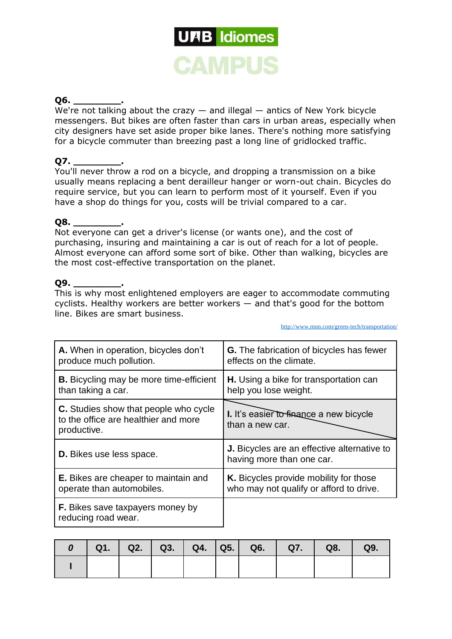

#### **Q6. \_\_\_\_\_\_\_\_.**

 $We're not talking about the crazy - and illegal - antics of New York bicycle$ messengers. But bikes are often faster than cars in urban areas, especially when city designers have set aside proper bike lanes. There's nothing more satisfying for a bicycle commuter than breezing past a long line of gridlocked traffic.

#### **Q7. \_\_\_\_\_\_\_\_.**

You'll never throw a rod on a bicycle, and dropping a transmission on a bike usually means replacing a bent derailleur hanger or worn-out chain. Bicycles do require service, but you can learn to perform most of it yourself. Even if you have a shop do things for you, costs will be trivial compared to a car.

#### **Q8. \_\_\_\_\_\_\_\_.**

Not everyone can get a driver's license (or wants one), and the cost of purchasing, insuring and maintaining a car is out of reach for a lot of people. Almost everyone can afford some sort of bike. Other than walking, bicycles are the most cost-effective transportation on the planet.

#### **Q9. \_\_\_\_\_\_\_\_.**

This is why most enlightened employers are eager to accommodate commuting cyclists. Healthy workers are better workers — and that's good for the bottom line. Bikes are smart business.

<http://www.mnn.com/green-tech/transportation/>

| A. When in operation, bicycles don't<br>produce much pollution.                              | <b>G.</b> The fabrication of bicycles has fewer<br>effects on the climate.        |
|----------------------------------------------------------------------------------------------|-----------------------------------------------------------------------------------|
| <b>B.</b> Bicycling may be more time-efficient<br>than taking a car.                         | H. Using a bike for transportation can<br>help you lose weight.                   |
| C. Studies show that people who cycle<br>to the office are healthier and more<br>productive. | I. It's easier to finance a new bicycle<br>than a new car.                        |
| <b>D.</b> Bikes use less space.                                                              | <b>J.</b> Bicycles are an effective alternative to<br>having more than one car.   |
| <b>E.</b> Bikes are cheaper to maintain and<br>operate than automobiles.                     | K. Bicycles provide mobility for those<br>who may not qualify or afford to drive. |
| <b>F.</b> Bikes save taxpayers money by<br>reducing road wear.                               |                                                                                   |

| $\vert$ Q1. $\vert$ $\vert$ |  |  | $Q2.$   $Q3.$   $Q4.$   $Q5.$   $Q6.$   $Q7.$ | Q8. | Q9. |
|-----------------------------|--|--|-----------------------------------------------|-----|-----|
|                             |  |  |                                               |     |     |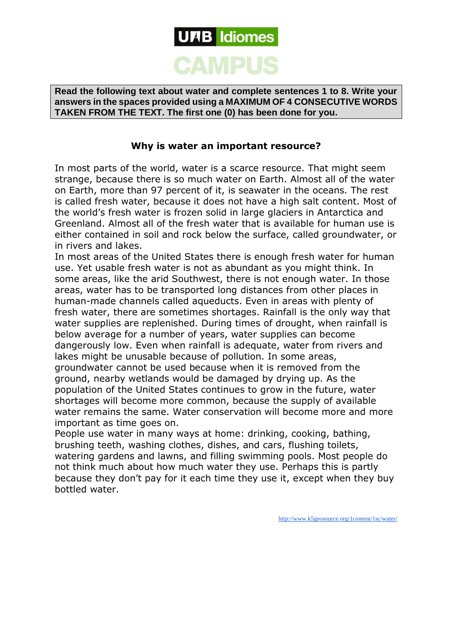# **UFIB** Idiomes CAMPI

**Read the following text about water and complete sentences 1 to 8. Write your answers in the spaces provided using a MAXIMUM OF 4 CONSECUTIVE WORDS TAKEN FROM THE TEXT. The first one (0) has been done for you.**

#### **Why is water an important resource?**

In most parts of the world, water is a scarce resource. That might seem strange, because there is so much water on Earth. Almost all of the water on Earth, more than 97 percent of it, is seawater in the oceans. The rest is called fresh water, because it does not have a high salt content. Most of the world's fresh water is frozen solid in large glaciers in Antarctica and Greenland. Almost all of the fresh water that is available for human use is either contained in soil and rock below the surface, called groundwater, or in rivers and lakes.

In most areas of the United States there is enough fresh water for human use. Yet usable fresh water is not as abundant as you might think. In some areas, like the arid Southwest, there is not enough water. In those areas, water has to be transported long distances from other places in human-made channels called aqueducts. Even in areas with plenty of fresh water, there are sometimes shortages. Rainfall is the only way that water supplies are replenished. During times of drought, when rainfall is below average for a number of years, water supplies can become dangerously low. Even when rainfall is adequate, water from rivers and lakes might be unusable because of pollution. In some areas, groundwater cannot be used because when it is removed from the ground, nearby wetlands would be damaged by drying up. As the population of the United States continues to grow in the future, water shortages will become more common, because the supply of available water remains the same. Water conservation will become more and more important as time goes on.

People use water in many ways at home: drinking, cooking, bathing, brushing teeth, washing clothes, dishes, and cars, flushing toilets, watering gardens and lawns, and filling swimming pools. Most people do not think much about how much water they use. Perhaps this is partly because they don't pay for it each time they use it, except when they buy bottled water.

<http://www.k5geosource.org/1content/1sc/water/>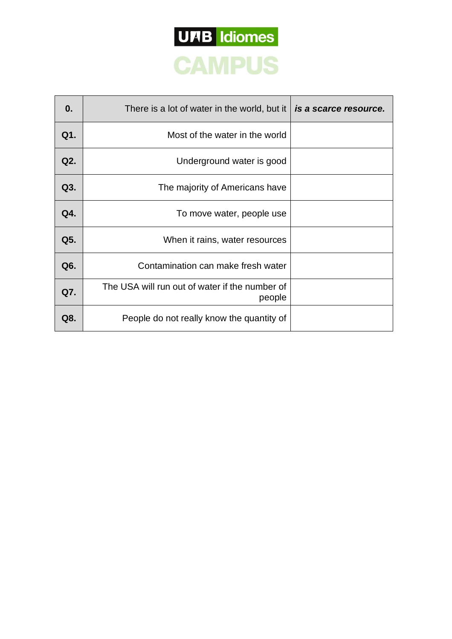

| $\mathbf{0}$ . | There is a lot of water in the world, but it $\vert$ is a scarce resource. |  |
|----------------|----------------------------------------------------------------------------|--|
| Q1.            | Most of the water in the world                                             |  |
| Q2.            | Underground water is good                                                  |  |
| Q3.            | The majority of Americans have                                             |  |
| Q4.            | To move water, people use                                                  |  |
| Q5.            | When it rains, water resources                                             |  |
| Q6.            | Contamination can make fresh water                                         |  |
| Q7.            | The USA will run out of water if the number of<br>people                   |  |
| Q8.            | People do not really know the quantity of                                  |  |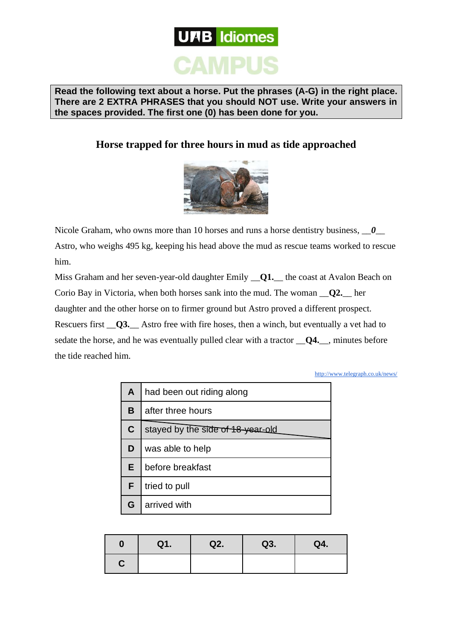

#### **Read the following text about a horse. Put the phrases (A-G) in the right place. There are 2 EXTRA PHRASES that you should NOT use. Write your answers in the spaces provided. The first one (0) has been done for you.**

### **Horse trapped for three hours in mud as tide approached**



Nicole Graham, who owns more than 10 horses and runs a horse dentistry business,  $\qquad \theta$ Astro, who weighs 495 kg, keeping his head above the mud as rescue teams worked to rescue him.

Miss Graham and her seven-year-old daughter Emily \_\_**Q1.**\_\_ the coast at Avalon Beach on Corio Bay in Victoria, when both horses sank into the mud. The woman \_\_**Q2.**\_\_ her daughter and the other horse on to firmer ground but Astro proved a different prospect. Rescuers first **Q3.** Astro free with fire hoses, then a winch, but eventually a vet had to sedate the horse, and he was eventually pulled clear with a tractor \_\_**Q4.**\_\_, minutes before the tide reached him.

| A | had been out riding along         |
|---|-----------------------------------|
| B | after three hours                 |
| C | stayed by the side of 18-year-old |
| D | was able to help                  |
| Е | before breakfast                  |
| F | tried to pull                     |
| G | arrived with                      |

|   | Q1. | Q2. | Q3. | Q4. |
|---|-----|-----|-----|-----|
| C |     |     |     |     |

[http://www.t](http://www.telegraph.co.uk/news/worldnews/australiaandthepacific/australia/9111117/Horse-trapped-for-three-hours-in-mud-as-tide-approached.html)elegrap[h.co.uk/n](http://www.telegraph.co.uk/news/worldnews/australiaandthepacific/australia/9111117/Horse-trapped-for-three-hours-in-mud-as-tide-approached.html)ew[s/](http://www.telegraph.co.uk/news/worldnews/australiaandthepacific/australia/9111117/Horse-trapped-for-three-hours-in-mud-as-tide-approached.html)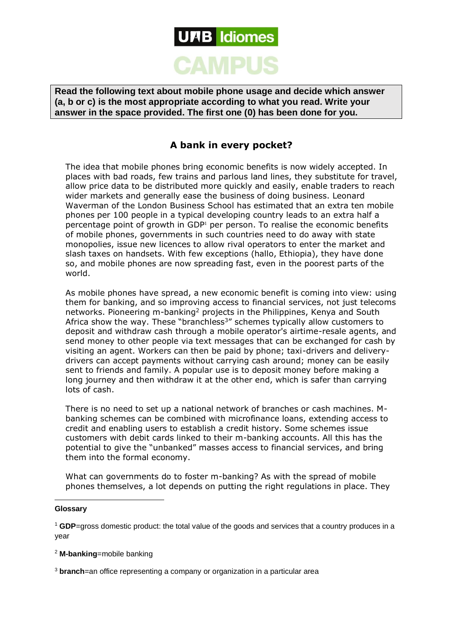

**Read the following text about mobile phone usage and decide which answer (a, b or c) is the most appropriate according to what you read. Write your answer in the space provided. The first one (0) has been done for you.**

#### **A bank in every pocket?**

The idea that mobile phones bring economic benefits is now widely accepted. In places with bad roads, few trains and parlous land lines, they substitute for travel, allow price data to be distributed more quickly and easily, enable traders to reach wider markets and generally ease the business of doing business. Leonard Waverman of the London Business School has estimated that an extra ten mobile phones per 100 people in a typical developing country leads to an extra half a percentage point of growth in GDP<sup>1</sup> per person. To realise the economic benefits of mobile phones, governments in such countries need to do away with state monopolies, issue new licences to allow rival operators to enter the market and slash taxes on handsets. With few exceptions (hallo, Ethiopia), they have done so, and mobile phones are now spreading fast, even in the poorest parts of the world.

As mobile phones have spread, a new economic benefit is coming into view: using them for banking, and so improving access to financial services, not just telecoms networks. Pioneering m-banking<sup>2</sup> projects in the Philippines, Kenya and South Africa show the way. These "branchless<sup>3"</sup> schemes typically allow customers to deposit and withdraw cash through a mobile operator's airtime-resale agents, and send money to other people via text messages that can be exchanged for cash by visiting an agent. Workers can then be paid by phone; taxi-drivers and deliverydrivers can accept payments without carrying cash around; money can be easily sent to friends and family. A popular use is to deposit money before making a long journey and then withdraw it at the other end, which is safer than carrying lots of cash.

There is no need to set up a national network of branches or cash machines. Mbanking schemes can be combined with microfinance loans, extending access to credit and enabling users to establish a credit history. Some schemes issue customers with debit cards linked to their m-banking accounts. All this has the potential to give the "unbanked" masses access to financial services, and bring them into the formal economy.

What can governments do to foster m-banking? As with the spread of mobile phones themselves, a lot depends on putting the right regulations in place. They

#### **Glossary**

<sup>2</sup> **M-banking**=mobile banking

<sup>1</sup> **GDP**=gross domestic product: the total value of the goods and services that a country produces in a year

<sup>3</sup> **branch**=an office representing a company or organization in a particular area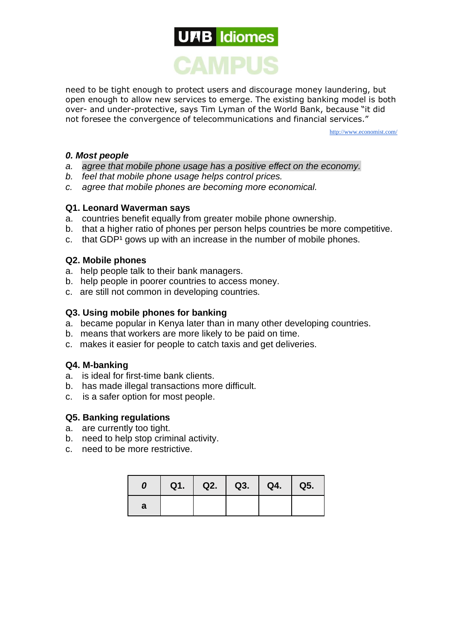

need to be tight enough to protect users and discourage money laundering, but open enough to allow new services to emerge. The existing banking model is both over- and under-protective, says Tim Lyman of the World Bank, because "it did not foresee the convergence of telecommunications and financial services."

[http://www.economist.com/](http://www.economist.com/node/10133998)

#### *0. Most people*

- *a. agree that mobile phone usage has a positive effect on the economy.*
- *b. feel that mobile phone usage helps control prices.*
- *c. agree that mobile phones are becoming more economical.*

#### **Q1. Leonard Waverman says**

- a. countries benefit equally from greater mobile phone ownership.
- b. that a higher ratio of phones per person helps countries be more competitive.
- c. that GDP<sup>1</sup> gows up with an increase in the number of mobile phones.

#### **Q2. Mobile phones**

- a. help people talk to their bank managers.
- b. help people in poorer countries to access money.
- c. are still not common in developing countries.

#### **Q3. Using mobile phones for banking**

- a. became popular in Kenya later than in many other developing countries.
- b. means that workers are more likely to be paid on time.
- c. makes it easier for people to catch taxis and get deliveries.

#### **Q4. M-banking**

- a. is ideal for first-time bank clients.
- b. has made illegal transactions more difficult.
- c. is a safer option for most people.

#### **Q5. Banking regulations**

- a. are currently too tight.
- b. need to help stop criminal activity.
- c. need to be more restrictive.

|   |  | $Q1.$   $Q2.$   $Q3.$   $Q4.$   $Q5.$ |  |
|---|--|---------------------------------------|--|
| a |  |                                       |  |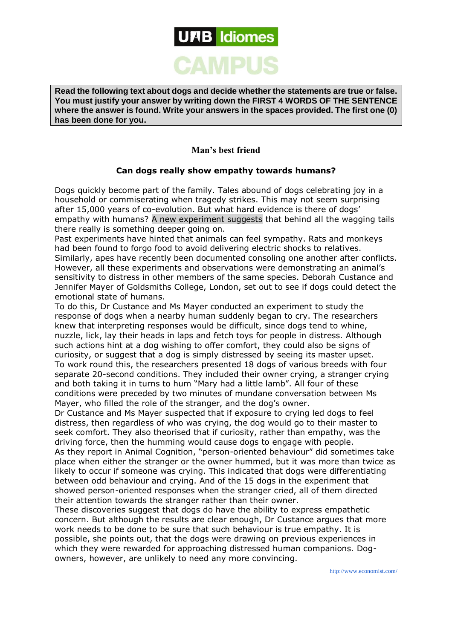

**Read the following text about dogs and decide whether the statements are true or false. You must justify your answer by writing down the FIRST 4 WORDS OF THE SENTENCE where the answer is found. Write your answers in the spaces provided. The first one (0) has been done for you.**

#### **Man's best friend**

#### **Can dogs really show empathy towards humans?**

Dogs quickly become part of the family. Tales abound of dogs celebrating joy in a household or commiserating when tragedy strikes. This may not seem surprising after 15,000 years of co-evolution. But what hard evidence is there of dogs' empathy with humans? A new experiment suggests that behind all the wagging tails there really is something deeper going on.

Past experiments have hinted that animals can feel sympathy. Rats and monkeys had been found to forgo food to avoid delivering electric shocks to relatives. Similarly, apes have recently been documented consoling one another after conflicts. However, all these experiments and observations were demonstrating an animal's sensitivity to distress in other members of the same species. Deborah Custance and Jennifer Mayer of Goldsmiths College, London, set out to see if dogs could detect the emotional state of humans.

To do this, Dr Custance and Ms Mayer conducted an experiment to study the response of dogs when a nearby human suddenly began to cry. The researchers knew that interpreting responses would be difficult, since dogs tend to whine, nuzzle, lick, lay their heads in laps and fetch toys for people in distress. Although such actions hint at a dog wishing to offer comfort, they could also be signs of curiosity, or suggest that a dog is simply distressed by seeing its master upset. To work round this, the researchers presented 18 dogs of various breeds with four separate 20-second conditions. They included their owner crying, a stranger crying and both taking it in turns to hum "Mary had a little lamb". All four of these conditions were preceded by two minutes of mundane conversation between Ms Mayer, who filled the role of the stranger, and the dog's owner.

Dr Custance and Ms Mayer suspected that if exposure to crying led dogs to feel distress, then regardless of who was crying, the dog would go to their master to seek comfort. They also theorised that if curiosity, rather than empathy, was the driving force, then the humming would cause dogs to engage with people.

As they report in Animal Cognition, "person-oriented behaviour" did sometimes take place when either the stranger or the owner hummed, but it was more than twice as likely to occur if someone was crying. This indicated that dogs were differentiating between odd behaviour and crying. And of the 15 dogs in the experiment that showed person-oriented responses when the stranger cried, all of them directed their attention towards the stranger rather than their owner.

These discoveries suggest that dogs do have the ability to express empathetic concern. But although the results are clear enough, Dr Custance argues that more work needs to be done to be sure that such behaviour is true empathy. It is possible, she points out, that the dogs were drawing on previous experiences in which they were rewarded for approaching distressed human companions. Dogowners, however, are unlikely to need any more convincing.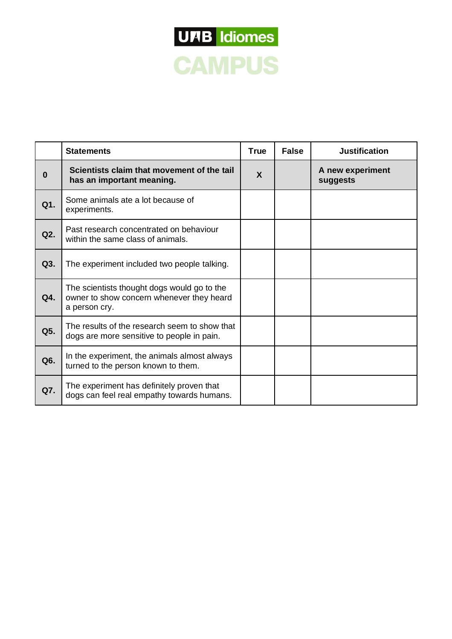

|     | <b>Statements</b>                                                                                         | <b>True</b> | <b>False</b> | <b>Justification</b>         |
|-----|-----------------------------------------------------------------------------------------------------------|-------------|--------------|------------------------------|
| O   | Scientists claim that movement of the tail<br>has an important meaning.                                   | X           |              | A new experiment<br>suggests |
| Q1. | Some animals ate a lot because of<br>experiments.                                                         |             |              |                              |
| Q2. | Past research concentrated on behaviour<br>within the same class of animals.                              |             |              |                              |
| Q3. | The experiment included two people talking.                                                               |             |              |                              |
| Q4. | The scientists thought dogs would go to the<br>owner to show concern whenever they heard<br>a person cry. |             |              |                              |
| Q5. | The results of the research seem to show that<br>dogs are more sensitive to people in pain.               |             |              |                              |
| Q6. | In the experiment, the animals almost always<br>turned to the person known to them.                       |             |              |                              |
| Q7. | The experiment has definitely proven that<br>dogs can feel real empathy towards humans.                   |             |              |                              |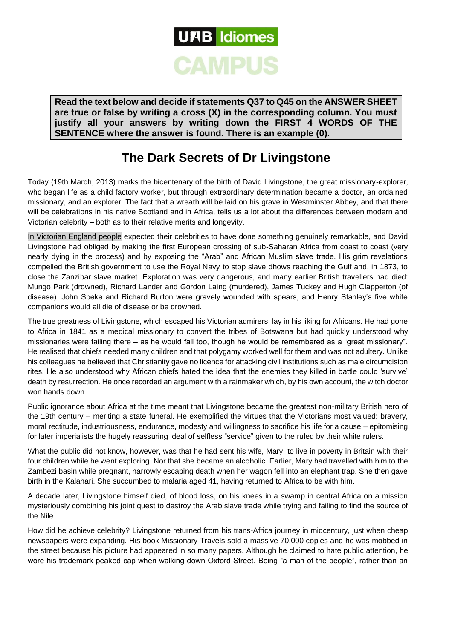

**Read the text below and decide if statements Q37 to Q45 on the ANSWER SHEET are true or false by writing a cross (X) in the corresponding column. You must justify all your answers by writing down the FIRST 4 WORDS OF THE SENTENCE where the answer is found. There is an example (0).**

## **The Dark Secrets of Dr Livingstone**

Today (19th March, 2013) marks the bicentenary of the birth of David Livingstone, the great missionary-explorer, who began life as a child factory worker, but through extraordinary determination became a doctor, an ordained missionary, and an explorer. The fact that a wreath will be laid on his grave in Westminster Abbey, and that there will be celebrations in his native Scotland and in Africa, tells us a lot about the differences between modern and Victorian celebrity – both as to their relative merits and longevity.

In Victorian England people expected their celebrities to have done something genuinely remarkable, and David Livingstone had obliged by making the first European crossing of sub-Saharan Africa from coast to coast (very nearly dying in the process) and by exposing the "Arab" and African Muslim slave trade. His grim revelations compelled the British government to use the Royal Navy to stop slave dhows reaching the Gulf and, in 1873, to close the Zanzibar slave market. Exploration was very dangerous, and many earlier British travellers had died: Mungo Park (drowned), Richard Lander and Gordon Laing (murdered), James Tuckey and Hugh Clapperton (of disease). John Speke and Richard Burton were gravely wounded with spears, and Henry Stanley's five white companions would all die of disease or be drowned.

The true greatness of Livingstone, which escaped his Victorian admirers, lay in his liking for Africans. He had gone to Africa in 1841 as a medical missionary to convert the tribes of Botswana but had quickly understood why missionaries were failing there – as he would fail too, though he would be remembered as a "great missionary". He realised that chiefs needed many children and that polygamy worked well for them and was not adultery. Unlike his colleagues he believed that Christianity gave no licence for attacking civil institutions such as male circumcision rites. He also understood why African chiefs hated the idea that the enemies they killed in battle could 'survive' death by resurrection. He once recorded an argument with a rainmaker which, by his own account, the witch doctor won hands down.

Public ignorance about Africa at the time meant that Livingstone became the greatest non-military British hero of the 19th century – meriting a state funeral. He exemplified the virtues that the Victorians most valued: bravery, moral rectitude, industriousness, endurance, modesty and willingness to sacrifice his life for a cause – epitomising for later imperialists the hugely reassuring ideal of selfless "service" given to the ruled by their white rulers.

What the public did not know, however, was that he had sent his wife, Mary, to live in poverty in Britain with their four children while he went exploring. Nor that she became an alcoholic. Earlier, Mary had travelled with him to the Zambezi basin while pregnant, narrowly escaping death when her wagon fell into an elephant trap. She then gave birth in the Kalahari. She succumbed to malaria aged 41, having returned to Africa to be with him.

A decade later, Livingstone himself died, of blood loss, on his knees in a swamp in central Africa on a mission mysteriously combining his joint quest to destroy the Arab slave trade while trying and failing to find the source of the Nile.

How did he achieve celebrity? Livingstone returned from his trans-Africa journey in midcentury, just when cheap newspapers were expanding. His book Missionary Travels sold a massive 70,000 copies and he was mobbed in the street because his picture had appeared in so many papers. Although he claimed to hate public attention, he wore his trademark peaked cap when walking down Oxford Street. Being "a man of the people", rather than an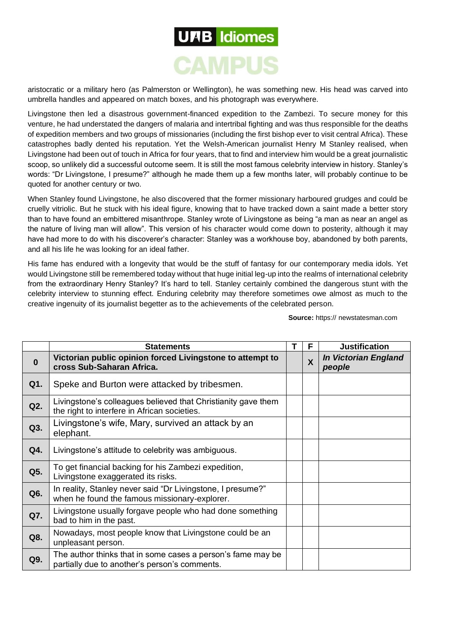

aristocratic or a military hero (as Palmerston or Wellington), he was something new. His head was carved into umbrella handles and appeared on match boxes, and his photograph was everywhere.

Livingstone then led a disastrous government-financed expedition to the Zambezi. To secure money for this venture, he had understated the dangers of malaria and intertribal fighting and was thus responsible for the deaths of expedition members and two groups of missionaries (including the first bishop ever to visit central Africa). These catastrophes badly dented his reputation. Yet the Welsh-American journalist Henry M Stanley realised, when Livingstone had been out of touch in Africa for four years, that to find and interview him would be a great journalistic scoop, so unlikely did a successful outcome seem. It is still the most famous celebrity interview in history. Stanley's words: "Dr Livingstone, I presume?" although he made them up a few months later, will probably continue to be quoted for another century or two.

When Stanley found Livingstone, he also discovered that the former missionary harboured grudges and could be cruelly vitriolic. But he stuck with his ideal figure, knowing that to have tracked down a saint made a better story than to have found an embittered misanthrope. Stanley wrote of Livingstone as being "a man as near an angel as the nature of living man will allow". This version of his character would come down to posterity, although it may have had more to do with his discoverer's character: Stanley was a workhouse boy, abandoned by both parents, and all his life he was looking for an ideal father.

His fame has endured with a longevity that would be the stuff of fantasy for our contemporary media idols. Yet would Livingstone still be remembered today without that huge initial leg-up into the realms of international celebrity from the extraordinary Henry Stanley? It's hard to tell. Stanley certainly combined the dangerous stunt with the celebrity interview to stunning effect. Enduring celebrity may therefore sometimes owe almost as much to the creative ingenuity of its journalist begetter as to the achievements of the celebrated person.

**Source:** https:// newstatesman.com

|          | <b>Statements</b>                                                                                             | т | F           | <b>Justification</b>           |
|----------|---------------------------------------------------------------------------------------------------------------|---|-------------|--------------------------------|
| $\bf{0}$ | Victorian public opinion forced Livingstone to attempt to<br>cross Sub-Saharan Africa.                        |   | $\mathbf x$ | In Victorian England<br>people |
| Q1.      | Speke and Burton were attacked by tribesmen.                                                                  |   |             |                                |
| Q2.      | Livingstone's colleagues believed that Christianity gave them<br>the right to interfere in African societies. |   |             |                                |
| Q3.      | Livingstone's wife, Mary, survived an attack by an<br>elephant.                                               |   |             |                                |
| Q4.      | Livingstone's attitude to celebrity was ambiguous.                                                            |   |             |                                |
| Q5.      | To get financial backing for his Zambezi expedition,<br>Livingstone exaggerated its risks.                    |   |             |                                |
| Q6.      | In reality, Stanley never said "Dr Livingstone, I presume?"<br>when he found the famous missionary-explorer.  |   |             |                                |
| Q7.      | Livingstone usually forgave people who had done something<br>bad to him in the past.                          |   |             |                                |
| Q8.      | Nowadays, most people know that Livingstone could be an<br>unpleasant person.                                 |   |             |                                |
| Q9.      | The author thinks that in some cases a person's fame may be<br>partially due to another's person's comments.  |   |             |                                |